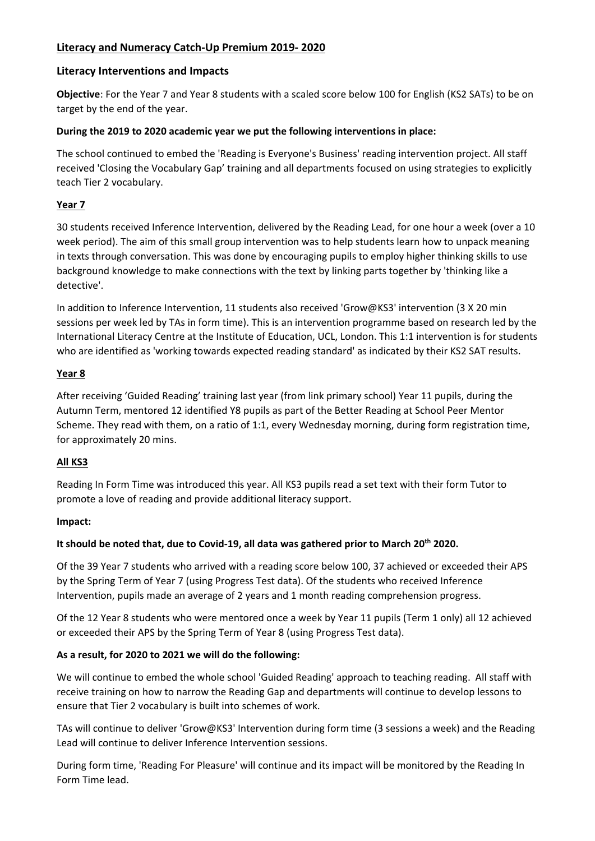# **Literacy and Numeracy Catch-Up Premium 2019- 2020**

## **Literacy Interventions and Impacts**

**Objective**: For the Year 7 and Year 8 students with a scaled score below 100 for English (KS2 SATs) to be on target by the end of the year.

### **During the 2019 to 2020 academic year we put the following interventions in place:**

The school continued to embed the 'Reading is Everyone's Business' reading intervention project. All staff received 'Closing the Vocabulary Gap' training and all departments focused on using strategies to explicitly teach Tier 2 vocabulary.

## **Year 7**

30 students received Inference Intervention, delivered by the Reading Lead, for one hour a week (over a 10 week period). The aim of this small group intervention was to help students learn how to unpack meaning in texts through conversation. This was done by encouraging pupils to employ higher thinking skills to use background knowledge to make connections with the text by linking parts together by 'thinking like a detective'.

In addition to Inference Intervention, 11 students also received 'Grow@KS3' intervention (3 X 20 min sessions per week led by TAs in form time). This is an intervention programme based on research led by the International Literacy Centre at the Institute of Education, UCL, London. This 1:1 intervention is for students who are identified as 'working towards expected reading standard' as indicated by their KS2 SAT results.

## **Year 8**

After receiving 'Guided Reading' training last year (from link primary school) Year 11 pupils, during the Autumn Term, mentored 12 identified Y8 pupils as part of the Better Reading at School Peer Mentor Scheme. They read with them, on a ratio of 1:1, every Wednesday morning, during form registration time, for approximately 20 mins.

### **All KS3**

Reading In Form Time was introduced this year. All KS3 pupils read a set text with their form Tutor to promote a love of reading and provide additional literacy support.

### **Impact:**

### **It should be noted that, due to Covid-19, all data was gathered prior to March 20th 2020.**

Of the 39 Year 7 students who arrived with a reading score below 100, 37 achieved or exceeded their APS by the Spring Term of Year 7 (using Progress Test data). Of the students who received Inference Intervention, pupils made an average of 2 years and 1 month reading comprehension progress.

Of the 12 Year 8 students who were mentored once a week by Year 11 pupils (Term 1 only) all 12 achieved or exceeded their APS by the Spring Term of Year 8 (using Progress Test data).

### **As a result, for 2020 to 2021 we will do the following:**

We will continue to embed the whole school 'Guided Reading' approach to teaching reading. All staff with receive training on how to narrow the Reading Gap and departments will continue to develop lessons to ensure that Tier 2 vocabulary is built into schemes of work.

TAs will continue to deliver 'Grow@KS3' Intervention during form time (3 sessions a week) and the Reading Lead will continue to deliver Inference Intervention sessions.

During form time, 'Reading For Pleasure' will continue and its impact will be monitored by the Reading In Form Time lead.